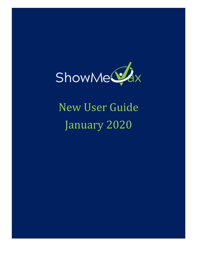

# New User Guide January 2020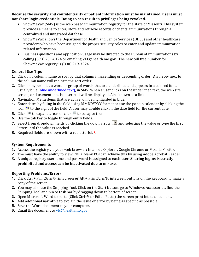**Because the security and confidentiality of patient information must be maintained, users must not share login credentials. Doing so can result in privileges being revoked.**

- ShowMeVax (SMV) is the web based immunization registry for the state of Missouri. This system provides a means to enter, store and retrieve records of clients' immunizations through a centralized and integrated database.
- ShowMeVax allows the Department of Health and Senior Services (DHSS) and other healthcare providers who have been assigned the proper security roles to enter and update immunization related information.
- Business questions and application usage may be directed to the Bureau of Immunizations by calling (573) 751-6124 or emailing VFC@health.mo.gov. The new toll free number for ShowMeVax registry is (800) 219-3224.

## **General Use Tips**

- **1.** Click on a column name to sort by that column in ascending or descending order. An arrow next to the column name will indicate the sort order.
- **2.** Click on hyperlinks, a word or group of words that are underlined and appears in a colored font, usually blue (blue underlined text), in SMV. When a user clicks on the underlined text, the web site, screen, or document that is described will be displayed. Also known as a link.
- **3.** Navigation Menu items that are active will be highlighted in blue.
- **4.** Enter dates by filling in the field using MMDDYYYY format or use the pop up calendar by clicking the icon  $\bullet$  to the right of the field. A user may double click in the date field for the current date.
- **5.** Click  $\textbf{F}$  to expand areas or click  $\textbf{F}$  to collapse them.
- **6.** Use the tab key to toggle through entry fields.
- **7.** Select from dropdown fields by clicking the down arrow  $\boxed{\blacksquare}$  and selecting the value or type the first letter until the value is reached.
- **8.** Required fields are shown with a red asterisk **\***.

## **System Requirements**

- **1.** Access the registry via your web browser: Internet Explorer, Google Chrome or Mozilla Firefox.
- **2.** The must have the ability to view PDFs. Many PCs can achieve this by using Adobe Acrobat Reader.
- **3.** A unique registry username and password is assigned to **each** user. **Sharing logins is strictly prohibited and access can be inactivated due to misuse.**

## **Reporting Problems/Errors**

- **1.** Click Ctrl + PrintScrn/PrintScreen **or** Alt + PrintScrn/PrintScreen buttons on the keyboard to make a copy of the screen.
- **2.** You may also use the Snipping Tool. Click on the Start button, go to Windows Accessories, find the Snipping Tool and pin to task bar by dragging down to bottom of screen.
- **3.** Open Microsoft Word to paste (Click Ctrl+V or Edit Paste) the screen print into a document.
- **4.** Add additional narrative to explain the issue or error by being as specific as possible.
- **5.** Save the Word document to your computer.
- **6.** Email the document to **yfc@health.mo.gov**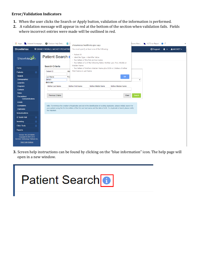#### **Error/Validation Indicators**

- **1.** When the user clicks the Search or Apply button, validation of the information is performed.
- **2.** A validation message will appear in red at the bottom of the section when validation fails. Fields where incorrect entries were made will be outlined in red.

| Apps Intranet Homepage 4 Envision Help Desk 3                                                                                  |                                                                                                                          |                             |                                                                                                                                                               | showmevax.health.mo.gov says                                         |                           | Access Man                | HL7 Error Report + IT |            |  | $\boldsymbol{y}$ |  |
|--------------------------------------------------------------------------------------------------------------------------------|--------------------------------------------------------------------------------------------------------------------------|-----------------------------|---------------------------------------------------------------------------------------------------------------------------------------------------------------|----------------------------------------------------------------------|---------------------------|---------------------------|-----------------------|------------|--|------------------|--|
| <b>ShowMeVax</b><br><b>Q DISNEY WORLD, MICKEY PEDIATRIC</b>                                                                    |                                                                                                                          |                             | You must specify at least one of the following:                                                                                                               |                                                                      |                           | <b>B</b> Support          | A -                   | & MICKEY - |  |                  |  |
| <b>Patient Search</b><br>ShowMe <sup>2</sup> x<br><b>Search Criteria</b><br>Home<br>Ider<br>Patient ID<br><b>Patients</b><br>8 |                                                                                                                          | - Patient ID<br>Maiden Name | - Identifier Type + Identifier Value<br>- Two letters of the first and last name<br>- Two letters of 2 of the following fields: Mother Last, First, Middle or |                                                                      |                           |                           |                       |            |  |                  |  |
|                                                                                                                                |                                                                                                                          |                             |                                                                                                                                                               | - Two letters of Mothers Maiden Name plus DOB or 2 letters of either |                           |                           |                       |            |  |                  |  |
|                                                                                                                                |                                                                                                                          | First Name or Last Name     |                                                                                                                                                               |                                                                      |                           |                           |                       |            |  |                  |  |
|                                                                                                                                | <b>Search</b>                                                                                                            |                             | Firs<br><b>Last Name</b>                                                                                                                                      |                                                                      |                           | OK                        |                       |            |  |                  |  |
|                                                                                                                                | <b>Demographics</b>                                                                                                      |                             | <b>DEMO</b>                                                                                                                                                   |                                                                      |                           |                           | $\pmb{\mathrm{v}}$    |            |  |                  |  |
|                                                                                                                                | <b>Local IDs</b>                                                                                                         |                             | <b>Birth Info</b>                                                                                                                                             |                                                                      |                           |                           |                       |            |  |                  |  |
|                                                                                                                                | <b>Programs</b>                                                                                                          |                             | <b>Mother Last Name</b>                                                                                                                                       | <b>Mother First Name</b>                                             | <b>Mother Middle Name</b> | <b>Mother Maiden Name</b> |                       |            |  |                  |  |
|                                                                                                                                | <b>Contacts</b>                                                                                                          |                             |                                                                                                                                                               |                                                                      |                           |                           |                       |            |  |                  |  |
|                                                                                                                                | <b>Notes</b><br>Precautions/<br><b>Contraindications</b>                                                                 |                             | Previous Criteria                                                                                                                                             |                                                                      |                           | Clear                     | Search                |            |  |                  |  |
|                                                                                                                                | <b>Events</b>                                                                                                            |                             |                                                                                                                                                               |                                                                      |                           |                           |                       |            |  |                  |  |
|                                                                                                                                | <b>Exemptions</b>                                                                                                        |                             | Info: To minimize the creation of duplicates and aid in the identification of existing duplicates, please initially search for                                |                                                                      |                           |                           |                       |            |  |                  |  |
|                                                                                                                                | <b>Duplicates</b>                                                                                                        |                             | your patient using the first two letters of the first and last name and the date of birth. If a duplicate is found, please notify<br>the helpdesk.            |                                                                      |                           |                           |                       |            |  |                  |  |
|                                                                                                                                | <b>Immunizations</b>                                                                                                     |                             |                                                                                                                                                               |                                                                      |                           |                           |                       |            |  |                  |  |
|                                                                                                                                | <b>IZ Quick Add</b>                                                                                                      | ø.                          |                                                                                                                                                               |                                                                      |                           |                           |                       |            |  |                  |  |
|                                                                                                                                | Inventory                                                                                                                | a.                          |                                                                                                                                                               |                                                                      |                           |                           |                       |            |  |                  |  |
|                                                                                                                                | <b>Clinic Tools</b>                                                                                                      | 61                          |                                                                                                                                                               |                                                                      |                           |                           |                       |            |  |                  |  |
|                                                                                                                                | <b>Reports</b>                                                                                                           |                             |                                                                                                                                                               |                                                                      |                           |                           |                       |            |  |                  |  |
|                                                                                                                                | Version 19.6.20190906<br>Copyright © 2001-2019<br><b>Envision Technology Partners Inc.</b><br><b>Third Party Notices</b> |                             |                                                                                                                                                               |                                                                      |                           |                           |                       |            |  |                  |  |

**3.** Screen help instructions can be found by clicking on the "blue information" icon. The help page will open in a new window.

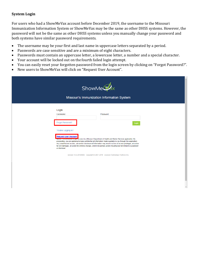### **System Login**

For users who had a ShowMeVax account before December 2019, the username to the Missouri Immunization Information System or ShowMeVax may be the same as other DHSS systems. However, the password will not be the same as other DHSS systems unless you manually change your password and both systems have similar password requirements.

- The username may be your first and last name in uppercase letters separated by a period.
- Passwords are case sensitive and are a minimum of eight characters.
- Passwords must contain an uppercase letter, a lowercase letter, a number and a special character.
- Your account will be locked out on the fourth failed login attempt.
- You can easily reset your forgotten password from the login screen by clicking on "Forgot Password?".
- New users to ShowMeVax will click on "Request User Account".

|                                                                                             | ShowMe <sup>s</sup><br>Missouri's Immunization Information System                                                                                                                                                                                                                                                                                                                                                                                 |  |
|---------------------------------------------------------------------------------------------|---------------------------------------------------------------------------------------------------------------------------------------------------------------------------------------------------------------------------------------------------------------------------------------------------------------------------------------------------------------------------------------------------------------------------------------------------|--|
| Login<br>Username<br>Forgot Password?<br>Trouble Logging in?<br><b>Request User Account</b> | Password<br>Login<br><b>NOTICE.</b> You are about to gain access to a Missouri Department of Health and Senior Services application. By                                                                                                                                                                                                                                                                                                           |  |
| or dismissal.                                                                               | proceeding, you are agreeing to keep confidential all information made available to you through this application.<br>Any unauthorized access, use and/or disclosure of information may result in a loss of access privileges, an action<br>for civil damages, an action for criminal charges, and/or disciplinary action including but not limited to suspension<br>Version 19.6.20190906 Copyright @ 2001-2019 Envision Technology Partners Inc. |  |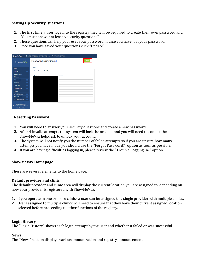## **Setting Up Security Questions**

- **1.** The first time a user logs into the registry they will be required to create their own password and "You must answer at least 6 security questions".
- **2.** These questions can help you reset your password in case you have lost your password.
- **3.** Once you have saved your questions click "Update".



### **Resetting Password**

- **1.** You will need to answer your security questions and create a new password.
- **2.** After 4 invalid attempts the system will lock the account and you will need to contact the ShowMeVax helpdesk to unlock your account.
- **3.** The system will not notify you the number of failed attempts so if you are unsure how many attempts you have made you should use the "Forgot Password?" option as soon as possible.
- **4.** If you are having difficulties logging in, please review the "Trouble Logging In?" option.

### **ShowMeVax Homepage**

There are several elements to the home page.

### **Default provider and clinic**

The default provider and clinic area will display the current location you are assigned to, depending on how your provider is registered with ShowMeVax.

- **1.** If you operate in one or more clinics a user can be assigned to a single provider with multiple clinics.
- **2.** Users assigned to multiple clinics will need to ensure that they have their current assigned location selected before proceeding to other functions of the registry.

### **Login History**

The "Login History" shows each login attempt by the user and whether it failed or was successful.

### **News**

The "News" section displays various immunization and registry announcements.